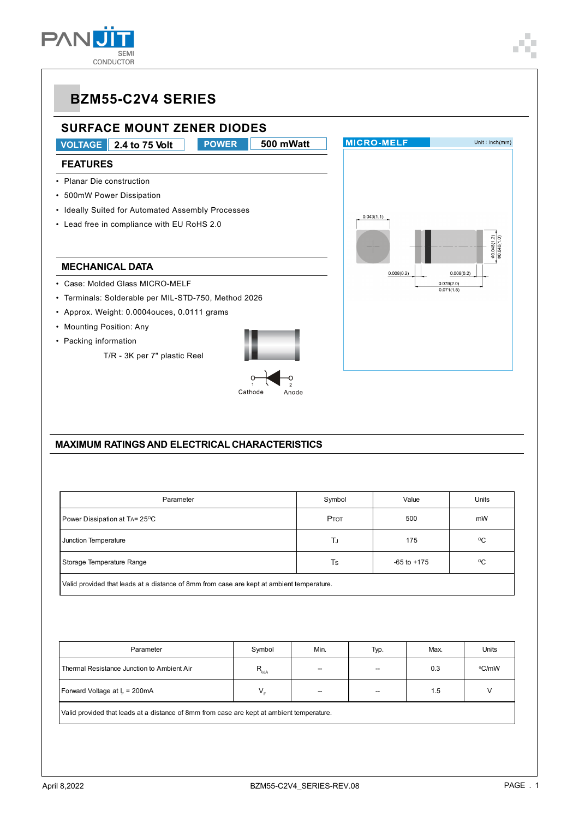

**SURFACE MOUNT ZENER DIODES VOLTAGE** 2.4 to 75 Volt **POWER** 500 mWatt **FEATURES** • Planar Die construction • 500mW Power Dissipation • Ideally Suited for Automated Assembly Processes • Lead free in compliance with EU RoHS 2.0

#### **MECHANICAL DATA**

- Case: Molded Glass MICRO-MELF
- Terminals: Solderable per MIL-STD-750, Method 2026
- Approx. Weight: 0.0004ouces, 0.0111 grams
- Mounting Position: Any
- Packing information

T/R - 3K per 7" plastic Reel





#### **MAXIMUM RATINGS AND ELECTRICAL CHARACTERISTICS**

| Parameter                                                                                 | Symbol | Value           | Units        |  |  |  |  |
|-------------------------------------------------------------------------------------------|--------|-----------------|--------------|--|--|--|--|
| Power Dissipation at TA= 25 <sup>o</sup> C                                                | Ртот   | 500             | mW           |  |  |  |  |
| Junction Temperature                                                                      | TJ     | 175             | $^{\circ}$ C |  |  |  |  |
| Storage Temperature Range                                                                 | Ts     | $-65$ to $+175$ | °C           |  |  |  |  |
| Valid provided that leads at a distance of 8mm from case are kept at ambient temperature. |        |                 |              |  |  |  |  |

| Parameter                                                                                 | Symbol        | Min. | Typ.                     | Max. | Units |  |  |  |
|-------------------------------------------------------------------------------------------|---------------|------|--------------------------|------|-------|--|--|--|
| Thermal Resistance Junction to Ambient Air                                                | $R_{\rm eJA}$ | --   | $\overline{\phantom{a}}$ | 0.3  | °C/mW |  |  |  |
| Forward Voltage at I <sub>c</sub> = 200mA                                                 | $V_{\rm r}$   | --   | $\overline{\phantom{m}}$ | 1.5  |       |  |  |  |
| Valid provided that leads at a distance of 8mm from case are kept at ambient temperature. |               |      |                          |      |       |  |  |  |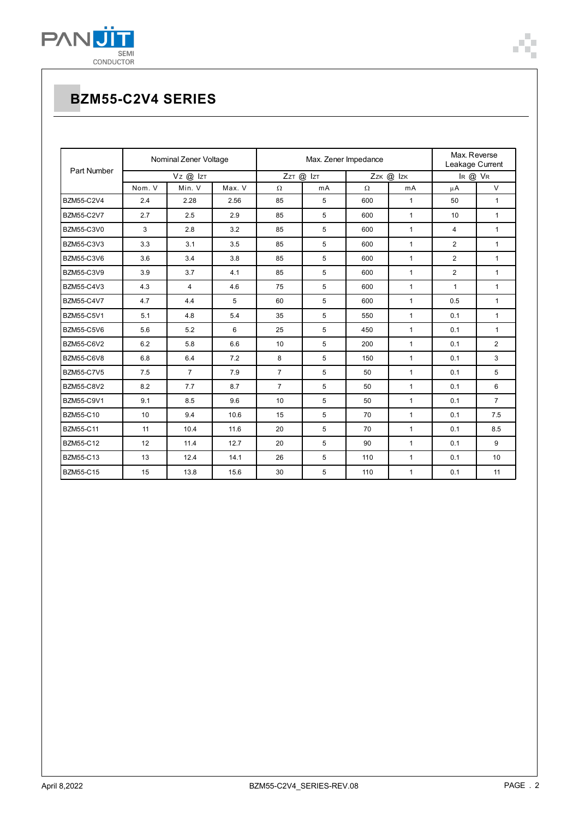

| Part Number       | Nominal Zener Voltage |                |        |                | Max. Zener Impedance | Max. Reverse<br>Leakage Current |              |                |                 |
|-------------------|-----------------------|----------------|--------|----------------|----------------------|---------------------------------|--------------|----------------|-----------------|
|                   | Vz @ IzT              |                |        | ZzT @ IzT      |                      | Zzk @ Izk                       |              | IR @ VR        |                 |
|                   | Nom. V                | Min. V         | Max. V | $\Omega$       | mA                   | $\Omega$                        | mA           | $\mu$ A        | $\vee$          |
| BZM55-C2V4        | 2.4                   | 2.28           | 2.56   | 85             | 5                    | 600                             | $\mathbf{1}$ | 50             | $\mathbf{1}$    |
| <b>BZM55-C2V7</b> | 2.7                   | 2.5            | 2.9    | 85             | 5                    | 600                             | $\mathbf{1}$ | 10             | $\mathbf{1}$    |
| BZM55-C3V0        | 3                     | 2.8            | 3.2    | 85             | 5                    | 600                             | $\mathbf{1}$ | 4              | $\mathbf{1}$    |
| BZM55-C3V3        | 3.3                   | 3.1            | 3.5    | 85             | 5                    | 600                             | $\mathbf{1}$ | $\overline{2}$ | $\mathbf{1}$    |
| <b>BZM55-C3V6</b> | 3.6                   | 3.4            | 3.8    | 85             | 5                    | 600                             | $\mathbf{1}$ | $\overline{2}$ | $\mathbf{1}$    |
| BZM55-C3V9        | 3.9                   | 3.7            | 4.1    | 85             | 5                    | 600                             | $\mathbf{1}$ | $\overline{2}$ | $\mathbf{1}$    |
| <b>BZM55-C4V3</b> | 4.3                   | 4              | 4.6    | 75             | 5                    | 600                             | $\mathbf{1}$ | $\mathbf{1}$   | $\mathbf{1}$    |
| <b>BZM55-C4V7</b> | 4.7                   | 4.4            | 5      | 60             | 5                    | 600                             | $\mathbf{1}$ | 0.5            | $\mathbf{1}$    |
| <b>BZM55-C5V1</b> | 5.1                   | 4.8            | 5.4    | 35             | 5                    | 550                             | $\mathbf{1}$ | 0.1            | $\mathbf{1}$    |
| BZM55-C5V6        | 5.6                   | 5.2            | 6      | 25             | 5                    | 450                             | $\mathbf{1}$ | 0.1            | $\mathbf{1}$    |
| <b>BZM55-C6V2</b> | 6.2                   | 5.8            | 6.6    | 10             | 5                    | 200                             | $\mathbf{1}$ | 0.1            | $\overline{2}$  |
| <b>BZM55-C6V8</b> | 6.8                   | 6.4            | 7.2    | 8              | 5                    | 150                             | $\mathbf{1}$ | 0.1            | 3               |
| <b>BZM55-C7V5</b> | 7.5                   | $\overline{7}$ | 7.9    | $\overline{7}$ | 5                    | 50                              | $\mathbf{1}$ | 0.1            | 5               |
| <b>BZM55-C8V2</b> | 8.2                   | 7.7            | 8.7    | $\overline{7}$ | 5                    | 50                              | $\mathbf{1}$ | 0.1            | 6               |
| <b>BZM55-C9V1</b> | 9.1                   | 8.5            | 9.6    | 10             | 5                    | 50                              | $\mathbf{1}$ | 0.1            | $\overline{7}$  |
| BZM55-C10         | 10                    | 9.4            | 10.6   | 15             | 5                    | 70                              | $\mathbf{1}$ | 0.1            | 7.5             |
| <b>BZM55-C11</b>  | 11                    | 10.4           | 11.6   | 20             | 5                    | 70                              | $\mathbf{1}$ | 0.1            | 8.5             |
| <b>BZM55-C12</b>  | 12                    | 11.4           | 12.7   | 20             | 5                    | 90                              | $\mathbf{1}$ | 0.1            | 9               |
| BZM55-C13         | 13                    | 12.4           | 14.1   | 26             | 5                    | 110                             | $\mathbf{1}$ | 0.1            | 10 <sup>1</sup> |
| <b>BZM55-C15</b>  | 15                    | 13.8           | 15.6   | 30             | 5                    | 110                             | $\mathbf{1}$ | 0.1            | 11              |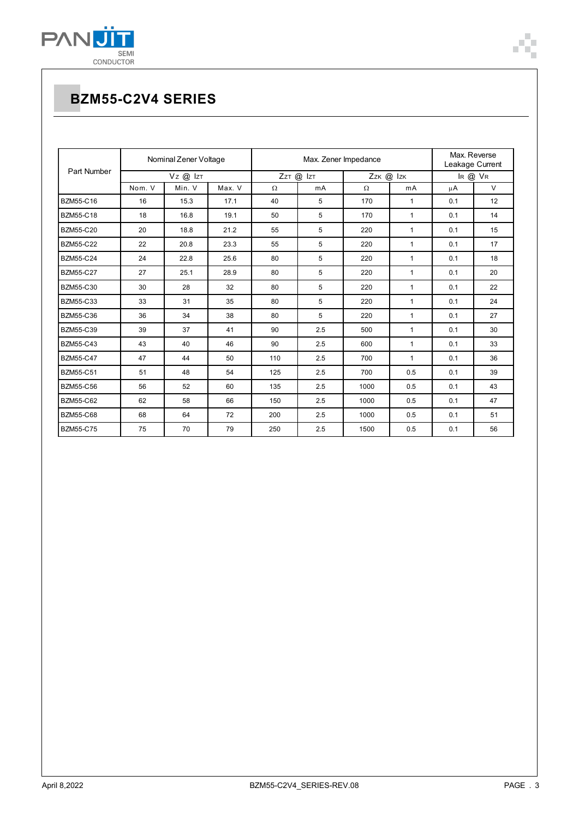

| Part Number      | Nominal Zener Voltage |        |        | Max. Zener Impedance |     |           |              | Max. Reverse<br>Leakage Current |        |
|------------------|-----------------------|--------|--------|----------------------|-----|-----------|--------------|---------------------------------|--------|
|                  | $VZ$ @ $IZT$          |        |        | ZzT @ IzT            |     | Zzk @ Izk |              | IR @ VR                         |        |
|                  | Nom. V                | Min. V | Max. V | $\Omega$             | mA  | $\Omega$  | mA           | μA                              | $\vee$ |
| BZM55-C16        | 16                    | 15.3   | 17.1   | 40                   | 5   | 170       | $\mathbf{1}$ | 0.1                             | 12     |
| BZM55-C18        | 18                    | 16.8   | 19.1   | 50                   | 5   | 170       | $\mathbf{1}$ | 0.1                             | 14     |
| <b>BZM55-C20</b> | 20                    | 18.8   | 21.2   | 55                   | 5   | 220       | 1            | 0.1                             | 15     |
| <b>BZM55-C22</b> | 22                    | 20.8   | 23.3   | 55                   | 5   | 220       | 1            | 0.1                             | 17     |
| <b>BZM55-C24</b> | 24                    | 22.8   | 25.6   | 80                   | 5   | 220       | $\mathbf{1}$ | 0.1                             | 18     |
| <b>BZM55-C27</b> | 27                    | 25.1   | 28.9   | 80                   | 5   | 220       | $\mathbf{1}$ | 0.1                             | 20     |
| <b>BZM55-C30</b> | 30                    | 28     | 32     | 80                   | 5   | 220       | $\mathbf{1}$ | 0.1                             | 22     |
| BZM55-C33        | 33                    | 31     | 35     | 80                   | 5   | 220       | $\mathbf{1}$ | 0.1                             | 24     |
| <b>BZM55-C36</b> | 36                    | 34     | 38     | 80                   | 5   | 220       | $\mathbf{1}$ | 0.1                             | 27     |
| <b>BZM55-C39</b> | 39                    | 37     | 41     | 90                   | 2.5 | 500       | $\mathbf{1}$ | 0.1                             | 30     |
| <b>BZM55-C43</b> | 43                    | 40     | 46     | 90                   | 2.5 | 600       | $\mathbf{1}$ | 0.1                             | 33     |
| <b>BZM55-C47</b> | 47                    | 44     | 50     | 110                  | 2.5 | 700       | 1            | 0.1                             | 36     |
| <b>BZM55-C51</b> | 51                    | 48     | 54     | 125                  | 2.5 | 700       | 0.5          | 0.1                             | 39     |
| <b>BZM55-C56</b> | 56                    | 52     | 60     | 135                  | 2.5 | 1000      | 0.5          | 0.1                             | 43     |
| <b>BZM55-C62</b> | 62                    | 58     | 66     | 150                  | 2.5 | 1000      | 0.5          | 0.1                             | 47     |
| <b>BZM55-C68</b> | 68                    | 64     | 72     | 200                  | 2.5 | 1000      | 0.5          | 0.1                             | 51     |
| <b>BZM55-C75</b> | 75                    | 70     | 79     | 250                  | 2.5 | 1500      | 0.5          | 0.1                             | 56     |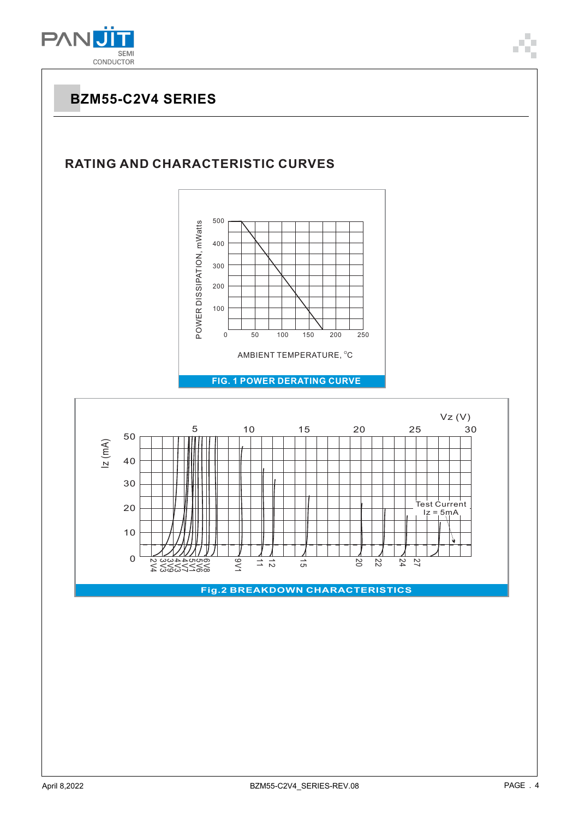

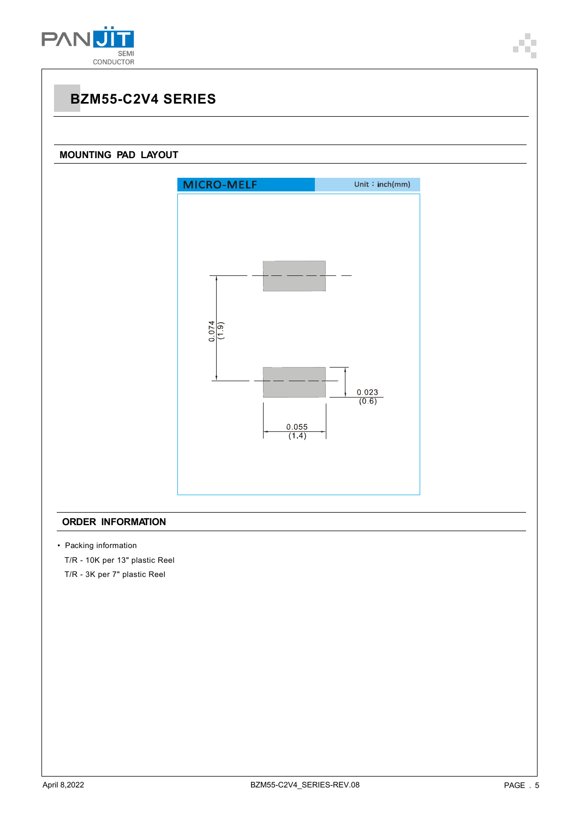



#### **ORDER INFORMATION**

• Packing information

T/R - 10K per 13" plastic Reel

T/R - 3K per 7" plastic Reel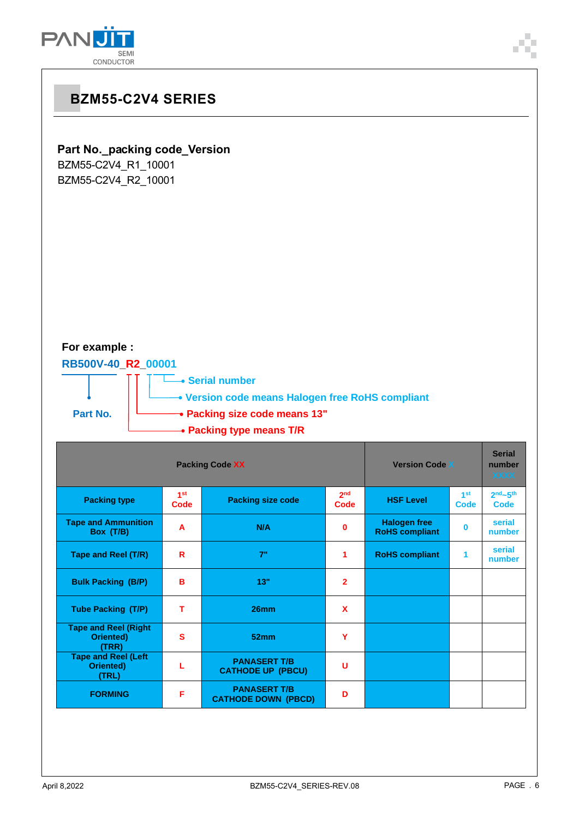



**FORMING F**

**PANASERT T/B CATHODE DOWN (PBCD) <sup>D</sup>**